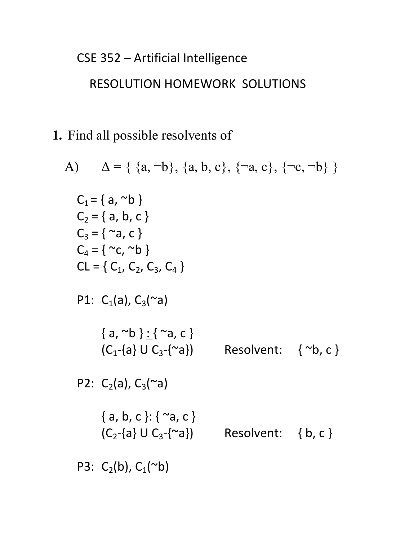# CSE 352 - Artificial Intelligence

## RESOLUTION HOMEWORK SOLUTIONS

**1.** Find all possible resolvents of

A) 
$$
\Delta = \{ \{a, \neg b\}, \{a, b, c\}, \{\neg a, c\}, \{\neg c, \neg b\} \}
$$
  
\nC<sub>1</sub> =  $\{a, \neg b\}$   
\nC<sub>2</sub> =  $\{a, b, c\}$   
\nC<sub>3</sub> =  $\{\neg a, c\}$   
\nC<sub>4</sub> =  $\{\neg c, \neg b\}$   
\nCL =  $\{C_1, C_2, C_3, C_4\}$   
\nP1:  $C_1(a), C_3(\neg a)$   
\n $\{a, \neg b\} : \{\neg a, c\}$   
\n(C<sub>1</sub>- $\{a\} \cup C_3$ - $\{\neg a\}$   
\nP2:  $C_2(a), C_3(\neg a)$   
\n $\{a, b, c\} : \{\neg a, c\}$   
\n(C<sub>2</sub>- $\{a\} \cup C_3$ - $\{\neg a\}$   
\nResolvent:  $\{\neg b, c\}$   
\nP3:  $C_2(b), C_1(\neg b)$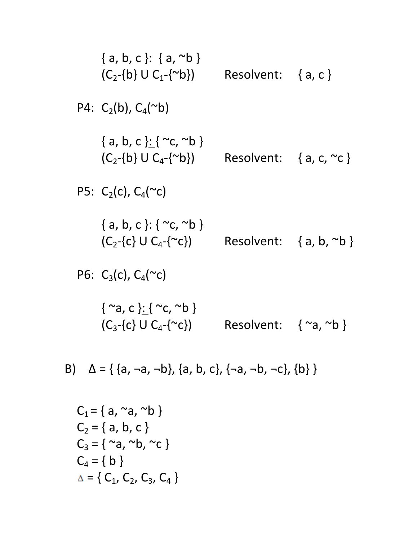{a, b, c }: {a, ~b}  
\n(C<sub>2</sub>-{b} U C<sub>1</sub>-{~b}) Resolvent: {a, c}  
\nP4: C<sub>2</sub>(b), C<sub>4</sub>(~b)  
\n{a, b, c }: { ~c, ~b}  
\n(C<sub>2</sub>-{b} U C<sub>4</sub>-{~b}) Resolvent: {a, c, ~c}  
\nP5: C<sub>2</sub>(c), C<sub>4</sub>(~c)  
\n{a, b, c }: { ~c, ~b}  
\n(C<sub>2</sub>-{c} U C<sub>4</sub>-{~c}) Resolvent: {a, b, ~b}  
\n(C<sub>2</sub>-{c} U C<sub>4</sub>-{~c}) Resolvent: {a, b, ~b}  
\nP6: C<sub>3</sub>(c), C<sub>4</sub>(~c)  
\n{ ~a, c }: { ~c, ~b}  
\n(C<sub>3</sub>-{c} U C<sub>4</sub>-{~c}) Resolvent: { ~a, ~b}  
\n(C<sub>3</sub>-{c} U C<sub>4</sub>-{~c}) Resolvent: { ~a, ~b}  
\nB) 
$$
\Delta = \{ \{a, \neg a, \neg b\}, \{a, b, c\}, \{\neg a, \neg b, \neg c\}, \{b\} \}
$$
  
\n $C_1 = \{a, ~a, ~b\}$   
\n $C_2 = \{a, b, c\}$   
\n $C_3 = \{ ~a, ~b, ~c \}$   
\n $C_4 = \{b\}$ 

 $\Delta = \{ \ C_1, \ C_2, \ C_3, \ C_4 \}$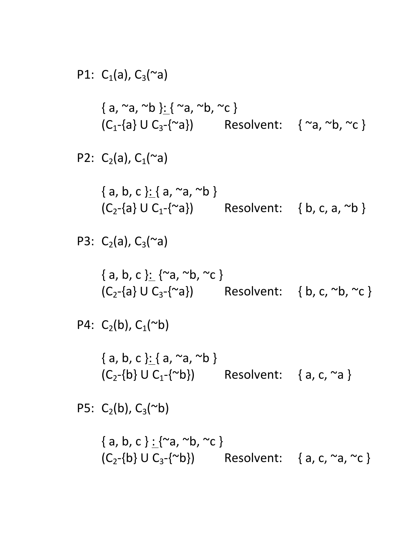P1: C<sub>1</sub>(a), C<sub>3</sub>(
$$
\sim a
$$
)  
\n{a,  $\sim a$ ,  $\sim b$  }: {  $\sim a$ ,  $\sim b$ ,  $\sim c$  }  
\n(C<sub>1</sub>-{a} U C<sub>3</sub>-{ $\sim a$ })  
\nP2: C<sub>2</sub>(a), C<sub>1</sub>( $\sim a$ )  
\n{a, b, c }: { a,  $\sim a$ ,  $\sim b$ }  
\n(C<sub>2</sub>-{a} U C<sub>1</sub>-{ $\sim a$ )}  
\nP3: C<sub>2</sub>(a), C<sub>3</sub>( $\sim a$ )  
\n{a, b, c }: { $\sim a$ ,  $\sim b$ ,  $\sim c$ }  
\n(C<sub>2</sub>-{a} U C<sub>3</sub>-{ $\sim a$ )}  
\n{a, b, c }: { $\sim a$ ,  $\sim b$ ,  $\sim c$ }  
\n(C<sub>2</sub>-{a} U C<sub>3</sub>-{ $\sim a$ })  
\nP4: C<sub>2</sub>(b), C<sub>1</sub>( $\sim b$ )  
\n{a, b, c }: { a,  $\sim a$ ,  $\sim b$ }  
\n(C<sub>2</sub>-{b} U C<sub>1</sub>-{ $\sim b$ )}  
\nResolvent: { a, c,  $\sim a$ }  
\nP5: C<sub>2</sub>(b), C<sub>3</sub>( $\sim b$ )  
\n{a, b, c }: { $\sim a$ ,  $\sim b$ ,  $\sim c$ }  
\n(C<sub>2</sub>-{b} U C<sub>3</sub>-{ $\sim b$ )}  
\nResolvent: {a, c,  $\sim a$ ,  $\sim c$ }  
\n(C<sub>2</sub>-{b} U C<sub>3</sub>-{ $\sim b$ )}  
\nResolvent: {a, c,  $\sim a$ ,  $\sim c$ }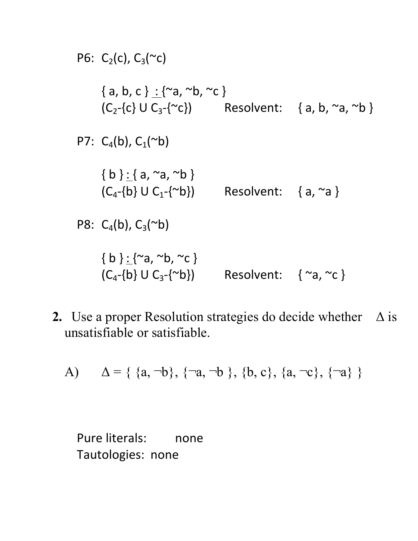

**2.** Use a proper Resolution strategies do decide whether Δ is unsatisfiable or satisfiable.

A) 
$$
\Delta = \{ \{a, \neg b\}, \{\neg a, \neg b\}, \{b, c\}, \{a, \neg c\}, \{\neg a\} \}
$$

Pure literals: none Tautologies: none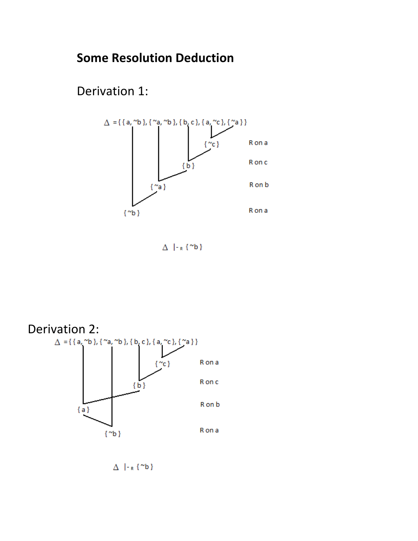### **Some Resolution Deduction**

Derivation 1:



 $\Delta$  |- $R$ {~b}



 $\Delta$  |- $R$ {"b}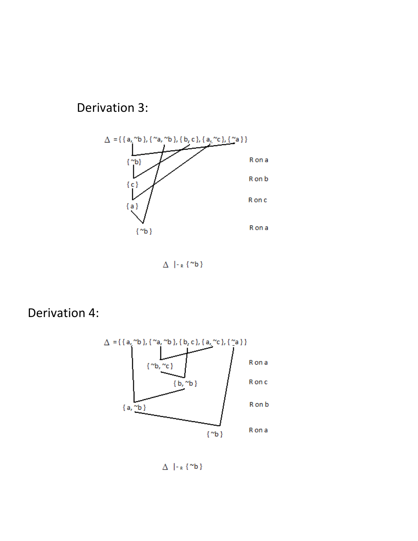#### Derivation 3:



 $\Delta$  |- $R$ {<sup>~b}</sup>

Derivation 4:



 $\Delta$  |- $R$ {<sup>~b}</sup>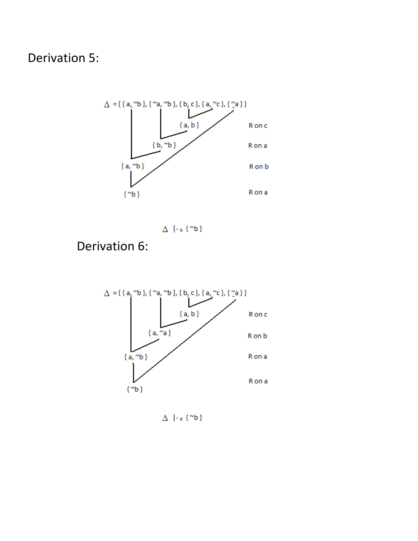Derivation 5:



 $\Delta$  |- $R$ {"b}

Derivation 6:



 $\Delta$  |- $R$ {~b}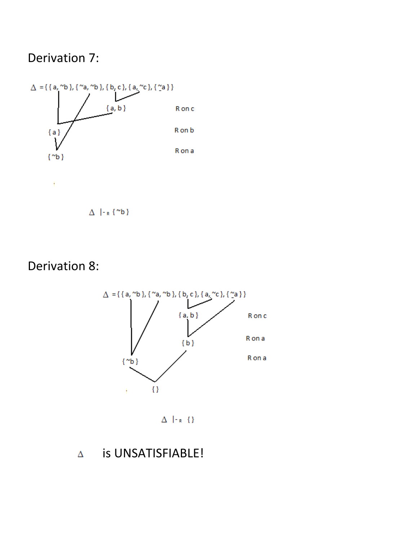#### Derivation 7:



 $\Delta$  |- $R$ {~b}

### Derivation 8:



 $\Delta$  |-r  $\{ \}$ 

#### is UNSATISFIABLE!  $\Delta$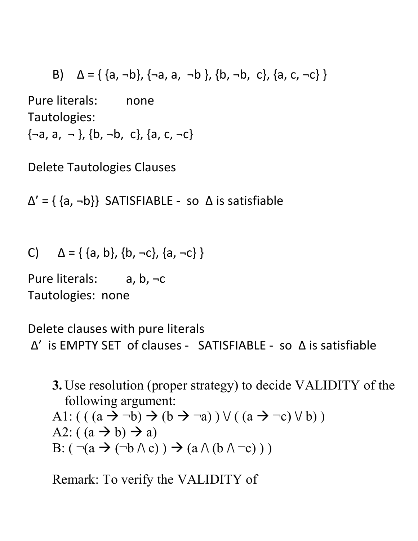B)  $\Delta = \{ \{a, \neg b\}, \{\neg a, a, \neg b\}, \{b, \neg b, c\}, \{a, c, \neg c\} \}$ Pure literals: none Tautologies:  $\{-a, a, -\}$ ,  $\{b, -b, c\}$ ,  $\{a, c, -c\}$ 

Delete Tautologies Clauses

 $\Delta' = \{ \{a, \neg b\} \}$  SATISFIABLE - so  $\Delta$  is satisfiable

C)  $\Delta = \{ \{a, b\}, \{b, \neg c\}, \{a, \neg c\} \}$ 

Pure literals:  $a, b, \neg c$ Tautologies: none

Delete clauses with pure literals  $\Delta'$  is EMPTY SET of clauses - SATISFIABLE - so  $\Delta$  is satisfiable

**3.** Use resolution (proper strategy) to decide VALIDITY of the following argument: A1:  $(( (a \rightarrow \neg b) \rightarrow (b \rightarrow \neg a)) \vee ((a \rightarrow \neg c) \vee b))$ A2:  $((a \rightarrow b) \rightarrow a)$ B:  $(\neg(a \rightarrow (\neg b \land c)) \rightarrow (a \land (b \land \neg c)) )$ 

Remark: To verify the VALIDITY of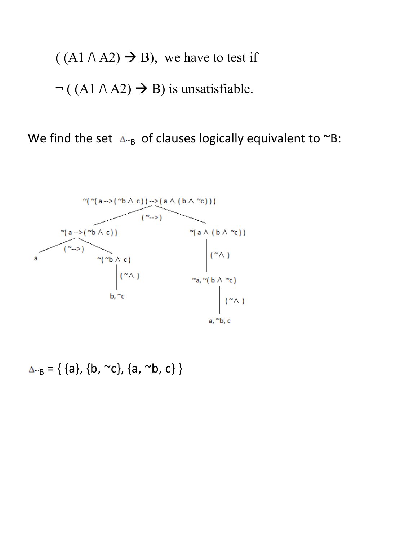$((A1 \land A2) \rightarrow B)$ , we have to test if  $\neg$  ((A1  $\land$  A2)  $\rightarrow$  B) is unsatisfiable.

We find the set  $\Delta_{\alpha}$  of clauses logically equivalent to  $\alpha B$ :



 $\Delta_{\sim B} = \{ \{a\}, \{b, \sim c\}, \{a, \sim b, c\} \}$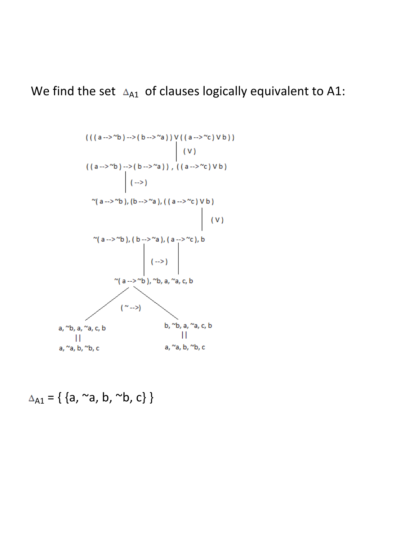We find the set  $\Delta_{A1}$  of clauses logically equivalent to A1:



 $\Delta_{A1} = \{ \{a, \sim a, b, \sim b, c\} \}$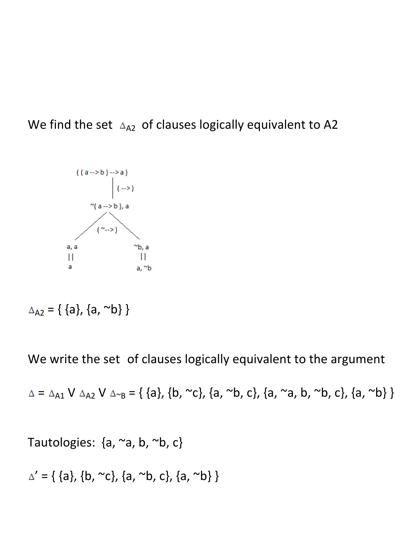We find the set  $\Delta_{A2}$  of clauses logically equivalent to A2

![](_page_11_Figure_1.jpeg)

 $\Delta_{A2} = \{ \{a\}, \{a, \sim b\} \}$ 

We write the set of clauses logically equivalent to the argument

 $\Delta = \Delta_{A1} V \Delta_{A2} V \Delta_{B} = \{ \{a\}, \{b, \sim c\}, \{a, \sim b, c\}, \{a, \sim a, b, \sim b, c\}, \{a, \sim b\} \}$ 

Tautologies:  $\{a, \sim a, b, \sim b, c\}$ 

$$
\Delta' = \{ \{a\}, \{b, \sim c\}, \{a, \sim b, c\}, \{a, \sim b\} \}
$$